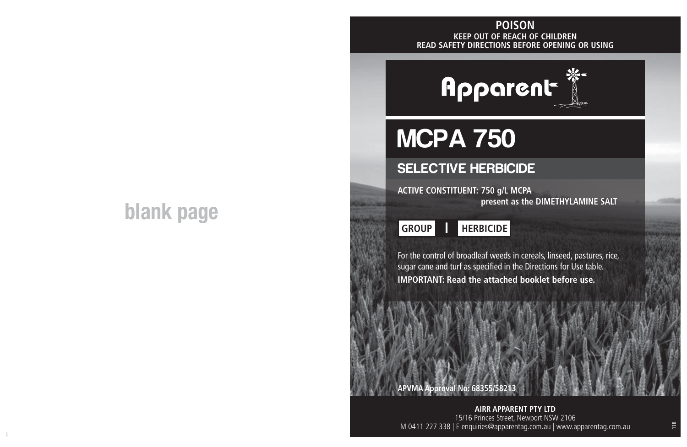#### **KEEP OUT OF REACH OF CHILDREN READ SAFETY DIRECTIONS BEFORE OPENING OR USING POISON**

# **Apparent**

# MCPA 750

### SELECTIVE HERBICIDE

**ACTIVE CONSTITUENT: 750 g/L MCPA present as the DIMETHYLAMINE SALT**



For the control of broadleaf weeds in cereals, linseed, pastures, rice, sugar cane and turf as specified in the Directions for Use table. **IMPORTANT: Read the attached booklet before use.**

**APVMA Approval No: 68355/58213**

**AIRR APPARENT PTY LTD** 15/16 Princes Street, Newport NSW 2106 M 0411 227 338 | E enquiries@apparentag.com.au | www.apparentag.com.au

## **blank page**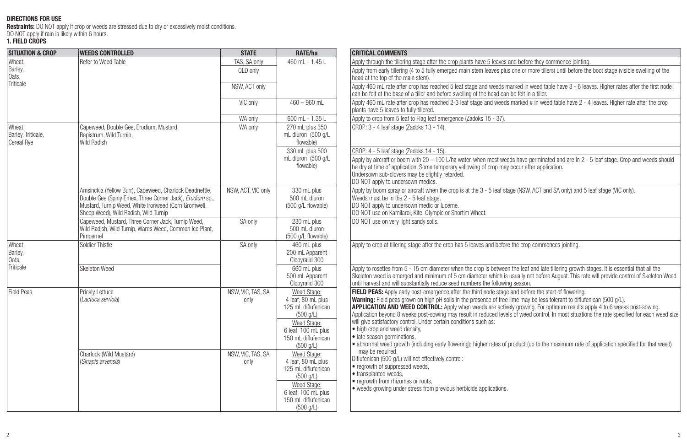#### **DIRECTIONS FOR USE**

**Restraints:** DO NOT apply if crop or weeds are stressed due to dry or excessively moist conditions.<br>DO NOT apply if rain is likely within 6 hours.<br>**1. FIELD CROPS** 

| <b>SITUATION &amp; CROP</b>                | <b>WEEDS CONTROLLED</b>                                                                                                                                                                                              | <b>STATE</b>              | RATE/ha                                                                                                                                         | <b>CRITICAL COMMENTS</b>                                                                                                                                                                                                                                                                                                                                                                                                                                                                                                                                                                                                                                                                                                                                                                         |
|--------------------------------------------|----------------------------------------------------------------------------------------------------------------------------------------------------------------------------------------------------------------------|---------------------------|-------------------------------------------------------------------------------------------------------------------------------------------------|--------------------------------------------------------------------------------------------------------------------------------------------------------------------------------------------------------------------------------------------------------------------------------------------------------------------------------------------------------------------------------------------------------------------------------------------------------------------------------------------------------------------------------------------------------------------------------------------------------------------------------------------------------------------------------------------------------------------------------------------------------------------------------------------------|
| Wheat.                                     | Refer to Weed Table                                                                                                                                                                                                  | TAS. SA only              | $460$ ml $-1.45$ l                                                                                                                              | Apply through the tillering stage after the crop plants have 5 leaves and before they commence jointing.                                                                                                                                                                                                                                                                                                                                                                                                                                                                                                                                                                                                                                                                                         |
| Barley,<br>Oats,                           |                                                                                                                                                                                                                      | QLD only                  |                                                                                                                                                 | Apply from early tillering (4 to 5 fully emerged main stem leaves plus one or more tillers) until before the boot stage (visible swelling of the<br>head at the top of the main stem)                                                                                                                                                                                                                                                                                                                                                                                                                                                                                                                                                                                                            |
| Triticale                                  |                                                                                                                                                                                                                      | NSW, ACT only             |                                                                                                                                                 | Apply 460 mL rate after crop has reached 5 leaf stage and weeds marked in weed table have 3 - 6 leaves. Higher rates after the first node<br>can be felt at the base of a tiller and before swelling of the head can be felt in a tiller.                                                                                                                                                                                                                                                                                                                                                                                                                                                                                                                                                        |
|                                            |                                                                                                                                                                                                                      | VIC only                  | $460 - 960$ ml                                                                                                                                  | Apply 460 mL rate after crop has reached 2-3 leaf stage and weeds marked # in weed table have 2 - 4 leaves. Higher rate after the crop<br>plants have 5 leaves to fully tillered.                                                                                                                                                                                                                                                                                                                                                                                                                                                                                                                                                                                                                |
|                                            |                                                                                                                                                                                                                      | WA only                   | 600 mL - 1.35 L                                                                                                                                 | Apply to crop from 5 leaf to Flag leaf emergence (Zadoks 15 - 37).                                                                                                                                                                                                                                                                                                                                                                                                                                                                                                                                                                                                                                                                                                                               |
| Wheat.<br>Barley, Triticale,<br>Cereal Rye | Capeweed, Double Gee, Erodium, Mustard,<br>Rapistrum, Wild Turnip,<br>Wild Radish                                                                                                                                    | WA only                   | 270 mL plus 350<br>mL diuron (500 g/L<br>flowable)                                                                                              | CROP: 3 - 4 leaf stage (Zadoks 13 - 14).                                                                                                                                                                                                                                                                                                                                                                                                                                                                                                                                                                                                                                                                                                                                                         |
|                                            |                                                                                                                                                                                                                      |                           | 330 mL plus 500                                                                                                                                 | CROP: 4 - 5 leaf stage (Zadoks 14 - 15).                                                                                                                                                                                                                                                                                                                                                                                                                                                                                                                                                                                                                                                                                                                                                         |
|                                            |                                                                                                                                                                                                                      |                           | mL diuron (500 g/L<br>flowable)                                                                                                                 | Apply by aircraft or boom with 20 - 100 L/ha water, when most weeds have germinated and are in 2 - 5 leaf stage. Crop and weeds should<br>be dry at time of application. Some temporary yellowing of crop may occur after application.<br>Undersown sub-clovers may be slightly retarded.<br>DO NOT apply to undersown medics.                                                                                                                                                                                                                                                                                                                                                                                                                                                                   |
|                                            | Amsinckia (Yellow Burr), Capeweed, Charlock Deadnettle,<br>Double Gee (Spiny Emex, Three Corner Jack), Erodium sp.,<br>Mustard, Turnip Weed, White Ironweed (Corn Gromwell,<br>Sheep Weed), Wild Radish, Wild Turnip | NSW, ACT, VIC only        | 330 mL plus<br>500 mL diuron<br>(500 g/L flowable)                                                                                              | Apply by boom spray or aircraft when the crop is at the 3 - 5 leaf stage (NSW, ACT and SA only) and 5 leaf stage (VIC only).<br>Weeds must be in the 2 - 5 leaf stage.<br>DO NOT apply to undersown medic or lucerne.<br>DO NOT use on Kamilaroi, Kite, Olympic or Shortim Wheat.                                                                                                                                                                                                                                                                                                                                                                                                                                                                                                                |
|                                            | Capeweed, Mustard, Three Corner Jack, Turnip Weed,<br>Wild Radish, Wild Turnip, Wards Weed, Common Ice Plant,<br>Pimpernel                                                                                           | SA only                   | 230 mL plus<br>500 ml diuron<br>(500 g/L flowable)                                                                                              | DO NOT use on very light sandy soils.                                                                                                                                                                                                                                                                                                                                                                                                                                                                                                                                                                                                                                                                                                                                                            |
| Wheat,<br>Barley,<br>Oats,                 | Soldier Thistle                                                                                                                                                                                                      | SA only                   | 460 mL plus<br>200 mL Apparent<br>Clopyralid 300                                                                                                | Apply to crop at tillering stage after the crop has 5 leaves and before the crop commences jointing.                                                                                                                                                                                                                                                                                                                                                                                                                                                                                                                                                                                                                                                                                             |
| Triticale                                  | Skeleton Weed                                                                                                                                                                                                        |                           | 660 mL plus<br>500 mL Apparent<br>Clopyralid 300                                                                                                | Apply to rosettes from 5 - 15 cm diameter when the crop is between the leaf and late tillering growth stages. It is essential that all the<br>Skeleton weed is emerged and minimum of 5 cm diameter which is usually not before August. This rate will provide control of Skeleton Weed<br>until harvest and will substantially reduce seed numbers the following season.                                                                                                                                                                                                                                                                                                                                                                                                                        |
| <b>Field Peas</b>                          | Prickly Lettuce<br>(Lactuca serriola)                                                                                                                                                                                | NSW, VIC, TAS, SA<br>only | Weed Stage:<br>4 leaf, 80 mL plus<br>125 mL diflufenican<br>(500 g/L)<br>Weed Stage:<br>6 leaf, 100 mL plus<br>150 mL diflufenican<br>(500 q/L) | FIELD PEAS: Apply early post-emergence after the third node stage and before the start of flowering.<br>Warning: Field peas grown on high pH soils in the presence of free lime may be less tolerant to diflufenican (500 q/L).<br>APPLICATION AND WEED CONTROL: Apply when weeds are actively growing. For optimum results apply 4 to 6 weeks post-sowing.<br>Application beyond 8 weeks post-sowing may result in reduced levels of weed control. In most situations the rate specified for each weed size<br>will give satisfactory control. Under certain conditions such as:<br>• high crop and weed density.<br>· late season germinations,<br>• abnormal weed growth (including early flowering); higher rates of product (up to the maximum rate of application specified for that weed) |
|                                            | Charlock (Wild Mustard)<br>(Sinapis arvensis)                                                                                                                                                                        | NSW, VIC, TAS, SA<br>only | Weed Stage:<br>4 leaf, 80 mL plus<br>125 mL diflufenican<br>(500 g/L)<br>Weed Stage:<br>6 leaf, 100 mL plus<br>150 mL diflufenican<br>(500 a/L) | may be required.<br>Diflufenican (500 g/L) will not effectively control:<br>· regrowth of suppressed weeds,<br>· transplanted weeds.<br>• regrowth from rhizomes or roots.<br>• weeds arowing under stress from previous herbicide applications.                                                                                                                                                                                                                                                                                                                                                                                                                                                                                                                                                 |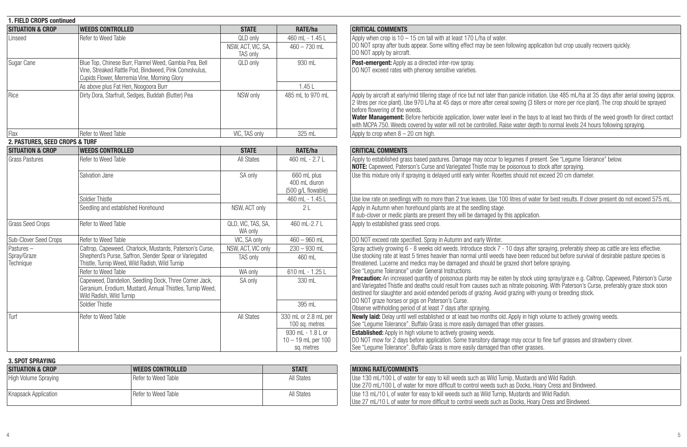| <b>1. FIELD CROPS continued</b> |                                                                                                                                                                    |                                |                                                              |                                                                                                                                                                                                                                                                                                                                                                                                                                                                                                                                                                                                                      |
|---------------------------------|--------------------------------------------------------------------------------------------------------------------------------------------------------------------|--------------------------------|--------------------------------------------------------------|----------------------------------------------------------------------------------------------------------------------------------------------------------------------------------------------------------------------------------------------------------------------------------------------------------------------------------------------------------------------------------------------------------------------------------------------------------------------------------------------------------------------------------------------------------------------------------------------------------------------|
| <b>SITUATION &amp; CROP</b>     | <b>WEEDS CONTROLLED</b>                                                                                                                                            | <b>STATE</b>                   | RATE/ha                                                      | <b>CRITICAL COMMENTS</b>                                                                                                                                                                                                                                                                                                                                                                                                                                                                                                                                                                                             |
| I inseed                        | Refer to Weed Table                                                                                                                                                | QLD only                       | 460 mL - 1.45 L                                              | Apply when crop is 10 - 15 cm tall with at least 170 L/ha of water.                                                                                                                                                                                                                                                                                                                                                                                                                                                                                                                                                  |
|                                 |                                                                                                                                                                    | NSW, ACT, VIC, SA,<br>TAS only | $460 - 730$ mL                                               | DO NOT spray after buds appear. Some wilting effect may be seen following application but crop usually recovers quickly.<br>DO NOT apply by aircraft.                                                                                                                                                                                                                                                                                                                                                                                                                                                                |
| Sugar Cane                      | Blue Top, Chinese Burr, Flannel Weed, Gambia Pea, Bell<br>Vine, Streaked Rattle Pod, Bindweed, Pink Convolvulus.<br>Cupids Flower, Merremia Vine, Morning Glory    | QLD only                       | 930 mL                                                       | Post-emergent: Apply as a directed inter-row spray.<br>DO NOT exceed rates with phenoxy sensitive varieties.                                                                                                                                                                                                                                                                                                                                                                                                                                                                                                         |
|                                 | As above plus Fat Hen. Noogoora Burr                                                                                                                               |                                | 1.451                                                        |                                                                                                                                                                                                                                                                                                                                                                                                                                                                                                                                                                                                                      |
| Rice                            | Dirty Dora, Starfruit, Sedges, Buddah (Butter) Pea                                                                                                                 | NSW only                       | 485 mL to 970 mL                                             | Apply by aircraft at early/mid tillering stage of rice but not later than panicle initiation. Use 485 mL/ha at 35 days after aerial sowing (approx.<br>2 litres per rice plant). Use 970 L/ha at 45 days or more after cereal sowing (3 tillers or more per rice plant). The crop should be sprayed<br>before flowering of the weeds.<br>Water Management: Before herbicide application, lower water level in the bays to at least two thirds of the weed growth for direct contact<br>with MCPA 750. Weeds covered by water will not be controlled. Raise water depth to normal levels 24 hours following spraying. |
| Flax                            | Refer to Weed Table                                                                                                                                                | VIC. TAS only                  | 325 ml                                                       | Apply to crop when 8 - 20 cm high.                                                                                                                                                                                                                                                                                                                                                                                                                                                                                                                                                                                   |
| 2. PASTURES. SEED CROPS & TURF  |                                                                                                                                                                    |                                |                                                              |                                                                                                                                                                                                                                                                                                                                                                                                                                                                                                                                                                                                                      |
| <b>SITUATION &amp; CROP</b>     | <b>WEEDS CONTROLLED</b>                                                                                                                                            | <b>STATE</b>                   | RATE/ha                                                      | <b>CRITICAL COMMENTS</b>                                                                                                                                                                                                                                                                                                                                                                                                                                                                                                                                                                                             |
| <b>Grass Pastures</b>           | Refer to Weed Table                                                                                                                                                | <b>All States</b>              | $460$ ml $-2.7$ l                                            | Apply to established grass based pastures. Damage may occur to legumes if present. See "Legume Tolerance" below.<br>NOTE: Capeweed, Paterson's Curse and Variegated Thistle may be poisonous to stock after spraying.                                                                                                                                                                                                                                                                                                                                                                                                |
|                                 | Salvation Jane                                                                                                                                                     | SA only                        | 660 mL plus<br>400 mL diuron<br>(500 a/L flowable)           | Use this mixture only if spraying is delayed until early winter. Rosettes should not exceed 20 cm diameter.                                                                                                                                                                                                                                                                                                                                                                                                                                                                                                          |
|                                 | Soldier Thistle                                                                                                                                                    |                                | 460 mL - 1.45 L                                              | Use low rate on seedlings with no more than 2 true leaves. Use 100 litres of water for best results. If clover present do not exceed 575 mL.                                                                                                                                                                                                                                                                                                                                                                                                                                                                         |
|                                 | Seedling and established Horehound                                                                                                                                 | NSW, ACT only                  | 2L                                                           | Apply in Autumn when horehound plants are at the seedling stage.<br>If sub-clover or medic plants are present they will be damaged by this application.                                                                                                                                                                                                                                                                                                                                                                                                                                                              |
| <b>Grass Seed Crops</b>         | Refer to Weed Table                                                                                                                                                | QLD, VIC, TAS, SA,<br>WA only  | 460 ml -2.7 l                                                | Apply to established grass seed crops.                                                                                                                                                                                                                                                                                                                                                                                                                                                                                                                                                                               |
| Sub-Clover Seed Crops           | Refer to Weed Table                                                                                                                                                | VIC, SA only                   | $460 - 960$ mL                                               | DO NOT exceed rate specified. Spray in Autumn and early Winter.                                                                                                                                                                                                                                                                                                                                                                                                                                                                                                                                                      |
| Pastures -                      | Caltrop, Capeweed, Charlock, Mustards, Paterson's Curse,                                                                                                           | NSW, ACT, VIC only             | $230 - 930$ mL                                               | Spray actively growing 6 - 8 weeks old weeds. Introduce stock 7 - 10 days after spraying, preferably sheep as cattle are less effective.                                                                                                                                                                                                                                                                                                                                                                                                                                                                             |
| Spray/Graze<br>Technique        | Shepherd's Purse, Saffron, Slender Spear or Variegated<br>Thistle, Turnip Weed, Wild Radish, Wild Turnip                                                           | TAS only                       | 460 mL                                                       | Use stocking rate at least 5 times heavier than normal until weeds have been reduced but before survival of desirable pasture species is<br>threatened. Lucerne and medics may be damaged and should be grazed short before spraying.                                                                                                                                                                                                                                                                                                                                                                                |
|                                 | Refer to Weed Table                                                                                                                                                | WA only                        | 610 mL - 1.25 L                                              | See "Lequme Tolerance" under General Instructions.                                                                                                                                                                                                                                                                                                                                                                                                                                                                                                                                                                   |
|                                 | Capeweed, Dandelion, Seedling Dock, Three Corner Jack,<br>Geranium, Erodium, Mustard, Annual Thistles, Turnip Weed,<br>Wild Radish, Wild Turnip<br>Soldier Thistle | SA only                        | 330 mL<br>395 ml                                             | <b>Precaution:</b> An increased quantity of poisonous plants may be eaten by stock using spray/graze e.g. Caltrop, Capeweed, Paterson's Curse<br>and Variegated Thistle and deaths could result from causes such as nitrate poisoning. With Paterson's Curse, preferably graze stock soon<br>destined for slaughter and avoid extended periods of grazing. Avoid grazing with young or breeding stock.<br>DO NOT graze horses or pigs on Paterson's Curse.                                                                                                                                                           |
|                                 |                                                                                                                                                                    |                                |                                                              | Observe withholding period of at least 7 days after spraying.                                                                                                                                                                                                                                                                                                                                                                                                                                                                                                                                                        |
| Turf                            | Refer to Weed Table                                                                                                                                                | All States                     | 330 mL or 2.8 mL per<br>100 sq. metres                       | Newly laid: Delay until well established or at least two months old. Apply in high volume to actively growing weeds.<br>See "Lequme Tolerance". Buffalo Grass is more easily damaged than other grasses.                                                                                                                                                                                                                                                                                                                                                                                                             |
|                                 |                                                                                                                                                                    |                                | $930$ ml $-1.8$ l or<br>$10 - 19$ mL per $100$<br>sa, metres | <b>Established:</b> Apply in high volume to actively growing weeds.<br>DO NOT mow for 2 days before application. Some transitory damage may occur to fine turf grasses and strawberry clover.<br>See "Lequme Tolerance". Buffalo Grass is more easily damaged than other grasses.                                                                                                                                                                                                                                                                                                                                    |

| 3. SPOT SPRAYING            |                         |              |                                                                                                                                                                                                   |
|-----------------------------|-------------------------|--------------|---------------------------------------------------------------------------------------------------------------------------------------------------------------------------------------------------|
| <b>SITUATION &amp; CROP</b> | <b>WEEDS CONTROLLED</b> | <b>STATE</b> | <b>MIXING RATE/COMMENTS</b>                                                                                                                                                                       |
| High Volume Spraying        | l Refer to Weed Table   | All States   | Use 130 mL/100 L of water for easy to kill weeds such as Wild Turnip, Mustards and Wild Radish.<br>Use 270 mL/100 L of water for more difficult to control weeds such as Docks. Hoary Cress and B |
| Knapsack Application        | l Refer to Weed Table   | All States   | Use 13 mL/10 L of water for easy to kill weeds such as Wild Turnip. Mustards and Wild Radish.<br>Use 27 mL/10 L of water for more difficult to control weeds such as Docks, Hoary Cress and Bind  |

| <b>WEEDS CONTROLLED</b>                                                                                                                                              | <b>STATE</b>                   | RATE/ha                                                   | <b>CRITICAL COMMENTS</b>                                                                                                                                                                                                                                                                                                                                                                                                                                                                                                                                                                                             |  |
|----------------------------------------------------------------------------------------------------------------------------------------------------------------------|--------------------------------|-----------------------------------------------------------|----------------------------------------------------------------------------------------------------------------------------------------------------------------------------------------------------------------------------------------------------------------------------------------------------------------------------------------------------------------------------------------------------------------------------------------------------------------------------------------------------------------------------------------------------------------------------------------------------------------------|--|
| Refer to Weed Table                                                                                                                                                  | QLD only                       | 460 mL - 1.45 L                                           | Apply when crop is 10 - 15 cm tall with at least 170 L/ha of water.                                                                                                                                                                                                                                                                                                                                                                                                                                                                                                                                                  |  |
|                                                                                                                                                                      | NSW. ACT. VIC. SA.<br>TAS only | $460 - 730$ mL                                            | DO NOT spray after buds appear. Some wilting effect may be seen following application but crop usually recovers quickly.<br>DO NOT apply by aircraft.                                                                                                                                                                                                                                                                                                                                                                                                                                                                |  |
| Blue Top, Chinese Burr, Flannel Weed, Gambia Pea, Bell<br>Vine, Streaked Rattle Pod, Bindweed, Pink Convolvulus,<br>Cupids Flower, Merremia Vine, Morning Glory      | QLD only                       | 930 ml                                                    | Post-emergent: Apply as a directed inter-row spray.<br>DO NOT exceed rates with phenoxy sensitive varieties.                                                                                                                                                                                                                                                                                                                                                                                                                                                                                                         |  |
| As above plus Fat Hen, Noogoora Burr                                                                                                                                 |                                | 1.45L                                                     |                                                                                                                                                                                                                                                                                                                                                                                                                                                                                                                                                                                                                      |  |
| Dirty Dora, Starfruit, Sedges, Buddah (Butter) Pea                                                                                                                   | NSW only                       | 485 ml to 970 ml                                          | Apply by aircraft at early/mid tillering stage of rice but not later than panicle initiation. Use 485 mL/ha at 35 days after aerial sowing (approx.<br>2 litres per rice plant). Use 970 L/ha at 45 days or more after cereal sowing (3 tillers or more per rice plant). The crop should be sprayed<br>before flowering of the weeds.<br>Water Management: Before herbicide application, lower water level in the bays to at least two thirds of the weed growth for direct contact<br>with MCPA 750. Weeds covered by water will not be controlled. Raise water depth to normal levels 24 hours following spraying. |  |
| Refer to Weed Table                                                                                                                                                  | VIC. TAS only                  | 325 ml                                                    | Apply to crop when $8 - 20$ cm high.                                                                                                                                                                                                                                                                                                                                                                                                                                                                                                                                                                                 |  |
| <b>G</b> TURF                                                                                                                                                        |                                |                                                           |                                                                                                                                                                                                                                                                                                                                                                                                                                                                                                                                                                                                                      |  |
| <b>WEEDS CONTROLLED</b>                                                                                                                                              | <b>STATE</b>                   | RATE/ha                                                   | <b>CRITICAL COMMENTS</b>                                                                                                                                                                                                                                                                                                                                                                                                                                                                                                                                                                                             |  |
| Refer to Weed Table                                                                                                                                                  | All States                     | $460$ ml $-2.7$ l                                         | Apply to established grass based pastures. Damage may occur to legumes if present. See "Legume Tolerance" below.<br>NOTE: Capeweed, Paterson's Curse and Variegated Thistle may be poisonous to stock after spraying.                                                                                                                                                                                                                                                                                                                                                                                                |  |
| Salvation Jane                                                                                                                                                       | SA only                        | 660 mL plus<br>400 mL diuron<br>(500 g/L flowable)        | Use this mixture only if spraying is delayed until early winter. Rosettes should not exceed 20 cm diameter.                                                                                                                                                                                                                                                                                                                                                                                                                                                                                                          |  |
| Soldier Thistle                                                                                                                                                      |                                | 460 mL - 1.45 L                                           | Use low rate on seedlings with no more than 2 true leaves. Use 100 litres of water for best results. If clover present do not exceed 575 mL                                                                                                                                                                                                                                                                                                                                                                                                                                                                          |  |
| Seedling and established Horehound                                                                                                                                   | NSW, ACT only                  | 2L                                                        | Apply in Autumn when horehound plants are at the seedling stage.<br>If sub-clover or medic plants are present they will be damaged by this application.                                                                                                                                                                                                                                                                                                                                                                                                                                                              |  |
| Refer to Weed Table                                                                                                                                                  | QLD, VIC, TAS, SA,<br>WA only  | 460 ml -2.7 l                                             | Apply to established grass seed crops.                                                                                                                                                                                                                                                                                                                                                                                                                                                                                                                                                                               |  |
| Refer to Weed Table                                                                                                                                                  | VIC. SA only                   | $460 - 960$ mL                                            | DO NOT exceed rate specified. Spray in Autumn and early Winter.                                                                                                                                                                                                                                                                                                                                                                                                                                                                                                                                                      |  |
| Caltrop, Capeweed, Charlock, Mustards, Paterson's Curse,<br>Shepherd's Purse, Saffron, Slender Spear or Variegated<br>Thistle, Turnip Weed, Wild Radish, Wild Turnip | NSW, ACT, VIC only<br>TAS only | $230 - 930$ mL<br>460 ml                                  | Spray actively growing 6 - 8 weeks old weeds. Introduce stock 7 - 10 days after spraying, preferably sheep as cattle are less effective.<br>Use stocking rate at least 5 times heavier than normal until weeds have been reduced but before survival of desirable pasture species is<br>threatened. Lucerne and medics may be damaged and should be grazed short before spraying.                                                                                                                                                                                                                                    |  |
| Refer to Weed Table                                                                                                                                                  | WA only                        | 610 mL - 1.25 L                                           | See "Lequme Tolerance" under General Instructions.                                                                                                                                                                                                                                                                                                                                                                                                                                                                                                                                                                   |  |
| Capeweed, Dandelion, Seedling Dock, Three Corner Jack,<br>Geranium, Erodium, Mustard, Annual Thistles, Turnip Weed,<br>Wild Radish, Wild Turnip                      | SA only                        | 330 mL                                                    | Precaution: An increased quantity of poisonous plants may be eaten by stock using spray/graze e.g. Caltrop, Capeweed, Paterson's Curse<br>and Variegated Thistle and deaths could result from causes such as nitrate poisoning. With Paterson's Curse, preferably graze stock soon<br>destined for slaughter and avoid extended periods of grazing. Avoid grazing with young or breeding stock.                                                                                                                                                                                                                      |  |
| Soldier Thistle                                                                                                                                                      |                                | 395 mL                                                    | DO NOT graze horses or pigs on Paterson's Curse.<br>Observe withholding period of at least 7 days after spraying.                                                                                                                                                                                                                                                                                                                                                                                                                                                                                                    |  |
| Refer to Weed Table                                                                                                                                                  | All States                     | 330 mL or 2.8 mL per<br>100 sq. metres                    | Newly laid: Delay until well established or at least two months old. Apply in high volume to actively growing weeds.<br>See "Legume Tolerance". Buffalo Grass is more easily damaged than other grasses.                                                                                                                                                                                                                                                                                                                                                                                                             |  |
|                                                                                                                                                                      |                                | 930 ml - 1.8 l or<br>$10 - 19$ mL per $100$<br>sq. metres | Established: Apply in high volume to actively growing weeds.<br>DO NOT mow for 2 days before application. Some transitory damage may occur to fine turf grasses and strawberry clover.<br>See "Lequme Tolerance". Buffalo Grass is more easily damaged than other grasses.                                                                                                                                                                                                                                                                                                                                           |  |
|                                                                                                                                                                      |                                |                                                           |                                                                                                                                                                                                                                                                                                                                                                                                                                                                                                                                                                                                                      |  |
|                                                                                                                                                                      |                                |                                                           |                                                                                                                                                                                                                                                                                                                                                                                                                                                                                                                                                                                                                      |  |

| <b>MIXING RATE/COMMENTS</b>                                                                            |
|--------------------------------------------------------------------------------------------------------|
| Use 130 mL/100 L of water for easy to kill weeds such as Wild Turnip, Mustards and Wild Radish.        |
| Use 270 mL/100 L of water for more difficult to control weeds such as Docks. Hoary Cress and Bindweed. |
| Use 13 mL/10 L of water for easy to kill weeds such as Wild Turnip, Mustards and Wild Radish.          |
| Use 27 mL/10 L of water for more difficult to control weeds such as Docks, Hoary Cress and Bindweed.   |
|                                                                                                        |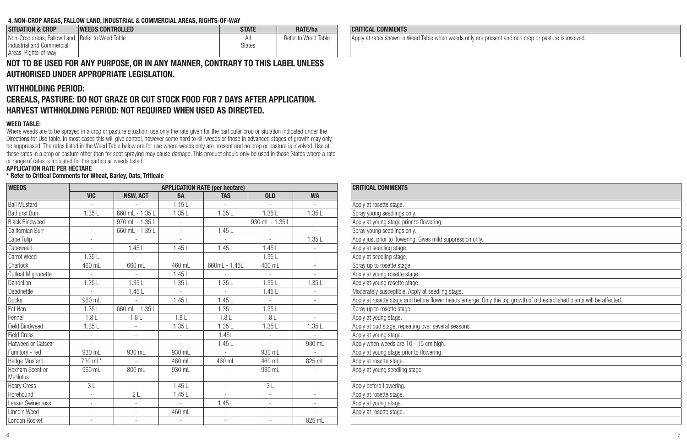#### **4. NON-CROP AREAS, FALLOW LAND, INDUSTRIAL & COMMERCIAL AREAS, RIGHTS-OF-WAY**

| <b>SITUATION &amp; CROP</b>                      | <b>WEEDS CONTROLLED</b> | <b>STATE</b>  | RATE/ha             | <b>CRITICAL COMMENTS</b> |
|--------------------------------------------------|-------------------------|---------------|---------------------|--------------------------|
| Non-Crop areas, Fallow Land, Refer to Weed Table |                         | ΑIΙ           | Refer to Weed Table | Apply at rates shown in  |
| Industrial and Commercial                        |                         | <b>States</b> |                     |                          |
| Areas, Rights-of-way                             |                         |               |                     |                          |

**NOT TO BE USED FOR ANY PURPOSE, OR IN ANY MANNER, CONTRARY TO THIS LABEL UNLESS AUTHORISED UNDER APPROPRIATE LEGISLATION.**

#### **WITHHOLDING PERIOD:**

#### **CEREALS, PASTURE: DO NOT GRAZE OR CUT STOCK FOOD FOR 7 DAYS AFTER APPLICATION. HARVEST WITHHOLDING PERIOD: NOT REQUIRED WHEN USED AS DIRECTED.**

#### **WEED TABLE:**

Where weeds are to be sprayed in a crop or pasture situation, use only the rate given for the particular crop or situation indicated under the Directions for Use table. In most cases this will give control, however some hard to kill weeds or those in advanced stages of growth may only be suppressed. The rates listed in the Weed Table below are for use where weeds only are present and no crop or pasture is involved. Use at these rates in a crop or pasture other than for spot spraying may cause damage. This product should only be used in those States where a rate or range of rates is indicated for the particular weeds listed.

#### **APPLICATION RATE PER HECTARE**

#### **\* Refer to Critical Comments for Wheat, Barley, Oats, Triticale**

| <b>WEEDS</b>                 |            | <b>CRITICAL COMMENTS</b> |                          |                          |                          |                          |                            |
|------------------------------|------------|--------------------------|--------------------------|--------------------------|--------------------------|--------------------------|----------------------------|
|                              | <b>VIC</b> | <b>NSW, ACT</b>          | <b>SA</b>                | <b>TAS</b>               | <b>OLD</b>               | <b>WA</b>                |                            |
| <b>Ball Mustard</b>          |            |                          | 1.15L                    |                          |                          |                          | Apply at rosette stage.    |
| <b>Bathurst Burr</b>         | 1.35L      | 660 mL - 1.35 L          | 1.35L                    | 1.35L                    | 1.35L                    | 1.35L                    | Spray young seedlings o    |
| <b>Black Bindweed</b>        | ×          | 970 mL - 1.35 L          | ÷                        |                          | 930 mL - 1.35 L          | $\overline{\phantom{a}}$ | Apply at young stage pr    |
| Californian Burr             |            | 660 mL - 1.35 L          | ÷.                       | 1.45L                    |                          |                          | Spray young seedlings o    |
| Cape Tulip                   |            |                          |                          |                          | ÷.                       | 1.35L                    | Apply just prior to flower |
| Capeweed                     | ×          | 1.45L                    | 1.45L                    | 1.45L                    | 1.45L                    | $\overline{\phantom{a}}$ | Apply at seedling stage.   |
| <b>Carrot Weed</b>           | 1.351      |                          |                          |                          | 1.35L                    |                          | Apply at seedling stage.   |
| Charlock                     | 460 mL     | 660 mL                   | 460 mL                   | 660mL - 1.45L            | 460 mL                   | ÷                        | Spray up to rosette stag   |
| <b>Cutleaf Mignonette</b>    | ä,         |                          | 1.45L                    |                          | $\bar{\phantom{a}}$      | ÷.                       | Apply at young rosette s   |
| Dandelion                    | 1.35L      | 1.35L                    | 1.35L                    | 1.35L                    | 1.35L                    | 1.35L                    | Apply at young rosette s   |
| Deadnettle                   | ÷          | 1.45L                    | ÷.                       |                          | 1.45L                    | ÷.                       | Moderately susceptible.    |
| <b>Docks</b>                 | 960 mL     | ä,                       | 1.45L                    | 1.45L                    | $\mathbf{r}$             | ÷                        | Apply at rosette stage a   |
| Fat Hen                      | 1.35L      | 660 mL - 1.35 L          |                          | 1.35L                    | 1.35L                    | ä,                       | Spray up to rosette stag   |
| Fennel                       | 1.8L       | 1.8L                     | 1.8L                     | 1.8L                     | 1.8L                     | ÷.                       | Apply at young stage.      |
| <b>Field Bindweed</b>        | 1.35L      | ä,                       | 1.35L                    | 1.35L                    | 1.35L                    | 1.35L                    | Apply at bud stage, repe   |
| <b>Field Cress</b>           |            |                          |                          | 1.45L                    |                          |                          | Apply at young stage.      |
| Flatweed or Catsear          | ÷          | $\overline{a}$           | ÷                        | 1.45L                    | ÷                        | 930 mL                   | Apply when weeds are "     |
| Fumitory - red               | 930 mL     | 930 mL                   | 930 mL                   | ÷.                       | 930 mL                   | ä,                       | Apply at young stage pr    |
| Hedge Mustard                | 730 mL*    |                          | 460 mL                   | 460 mL                   | 460 mL                   | 825 mL                   | Apply at rosette stage.    |
| Hexham Scent or<br>Melilotus | 960 mL     | 800 mL                   | 930 mL                   |                          | 930 mL                   |                          | Apply at young seedling    |
| <b>Hoary Cress</b>           | 3L         | ÷.                       | 1.45L                    | ÷.                       | 3L                       | ÷.                       | Apply before flowering.    |
| Horehound                    | $\sim$     | 2L                       | 1.45L                    | $\overline{\phantom{a}}$ | $\overline{\phantom{a}}$ | $\overline{\phantom{a}}$ | Apply at rosette stage.    |
| <b>Lesser Swinecress</b>     |            |                          |                          | 1.45L                    | $\bar{\phantom{a}}$      |                          | Apply at young stage.      |
| Lincoln Weed                 | ×          | ÷                        | 460 mL                   |                          | ÷,                       | ÷                        | Apply at rosette stage.    |
| London Rocket                | ×,         | $\overline{\phantom{a}}$ | $\overline{\phantom{a}}$ | $\sim$                   | $\sim$                   | 825 mL                   |                            |

### Spray young seedlings only. Annly at young stage prior to flowering Spray voung seedlings only. Apply just prior to flowering. Gives mild suppression only. Apply at seedling stage. Apply at seedling stage. Spray up to rosette stage. Apply at young rosette stage. Apply at young rosette stage. Moderately susceptible. Apply at seedling stage. Apply at rosette stage and before flower heads emerge. Only the top growth of old established plants will be affected Spray up to rosette stage. Annly at bud stage, repeating over several seasons. Apply when weeds are 10 - 15 cm high. Apply at young stage prior to flowering. Apply at rosette stage. Apply at young seedling stage. Apply before flowering Apply at rosette stage. Apply at young stage.

Apply at rates shown in Weed Table when weeds only are present and non crop or pasture is involved.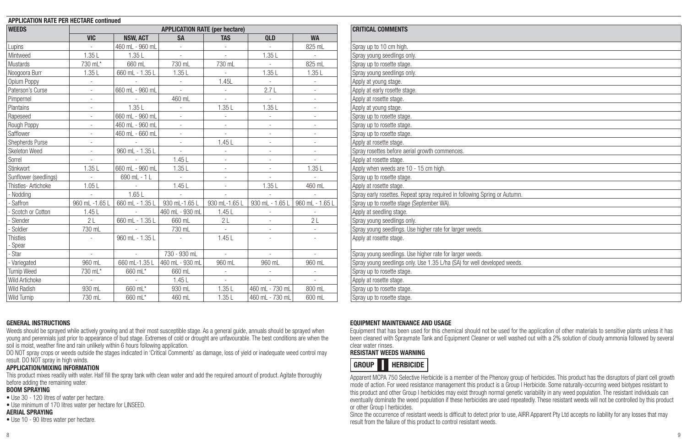#### **APPLICATION RATE PER HECTARE continued**

| <b>WEEDS</b>          |                |                 | <b>APPLICATION RATE (per hectare)</b> | <b>CRITICAL COMMENTS</b> |                 |                          |                                                                            |
|-----------------------|----------------|-----------------|---------------------------------------|--------------------------|-----------------|--------------------------|----------------------------------------------------------------------------|
|                       | <b>VIC</b>     | <b>NSW. ACT</b> | <b>SA</b>                             | <b>TAS</b>               | <b>QLD</b>      | <b>WA</b>                |                                                                            |
| Lupins                |                | 460 mL - 960 mL |                                       |                          |                 | 825 mL                   | Spray up to 10 cm high.                                                    |
| Mintweed              | 1.35L          | 1.35L           |                                       |                          | 1.35L           |                          | Spray young seedlings only.                                                |
| Mustards              | 730 mL*        | 660 mL          | 730 mL                                | 730 mL                   | ä,              | 825 mL                   | Spray up to rosette stage.                                                 |
| Noogoora Burr         | 1.35 L         | 660 mL - 1.35 L | 1.35L                                 |                          | 1.35L           | 1.35L                    | Spray young seedlings only.                                                |
| Opium Poppy           |                |                 |                                       | 1.45L                    |                 |                          | Apply at young stage.                                                      |
| Paterson's Curse      | ÷              | 660 mL - 960 mL |                                       |                          | 2.7L            |                          | Apply at early rosette stage.                                              |
| Pimpernel             |                |                 | 460 mL                                |                          |                 |                          | Apply at rosette stage.                                                    |
| Plantains             | $\sim$         | 1.35L           | $\sim$                                | 1.35L                    | 1.35L           | $\overline{\phantom{a}}$ | Apply at young stage.                                                      |
| Rapeseed              | ä,             | 660 mL - 960 mL | ÷.                                    |                          |                 |                          | Spray up to rosette stage.                                                 |
| Rough Poppy           | ×,             | 460 mL - 960 mL |                                       |                          |                 |                          | Spray up to rosette stage.                                                 |
| Safflower             | ×,             | 460 mL - 660 mL | ×.                                    |                          | ٠               | ×.                       | Spray up to rosette stage.                                                 |
| Shepherds Purse       |                |                 |                                       | 1.45L                    |                 |                          | Apply at rosette stage.                                                    |
| Skeleton Weed         |                | 960 mL - 1.35 L |                                       |                          |                 |                          | Spray rosettes before aerial growth commences.                             |
| Sorrel                | з.             |                 | 1.45L                                 | ×.                       | ×.              | ÷                        | Apply at rosette stage.                                                    |
| Stinkwort             | 1.35L          | 660 mL - 960 mL | 1.35L                                 |                          |                 | 1.35L                    | Apply when weeds are 10 - 15 cm high.                                      |
| Sunflower (seedlings) |                | 690 mL - 1 L    |                                       |                          |                 |                          | Spray up to rosette stage.                                                 |
| Thistles- Artichoke   | 1.05L          |                 | 1.45L                                 | ×.                       | 1.35L           | 460 mL                   | Apply at rosette stage.                                                    |
| Nodding               |                | 1.65L           |                                       |                          |                 |                          | Spray early rosettes. Repeat spray required in following Spring or Autumn. |
| Saffron               | 960 mL -1.65 L | 660 mL - 1.35 L | 930 mL-1.65 L                         | 930 mL-1.65 l            | 930 mL - 1.65 L | 960 mL - 1.65 L          | Spray up to rosette stage (September WA).                                  |
| Scotch or Cotton      | 1.45L          |                 | 460 mL - 930 mL                       | 1.45L                    |                 |                          | Apply at seedling stage.                                                   |
| Slender               | 21             | 660 mL - 1.35 L | 660 ml                                | 2L                       | ÷               | 2L                       | Spray young seedlings only.                                                |
| Soldier               | 730 mL         |                 | 730 mL                                |                          |                 | ×,                       | Spray young seedlings. Use higher rate for larger weeds.                   |
| <b>Thistles</b>       |                | 960 mL - 1.35 L |                                       | 1.45L                    |                 |                          | Apply at rosette stage.                                                    |
| Spear                 |                |                 |                                       |                          |                 |                          |                                                                            |
| Star                  |                |                 | 730 - 930 mL                          |                          |                 |                          | Spray young seedlings. Use higher rate for larger weeds.                   |
| - Variegated          | 960 mL         | 660 mL-1.35 L   | 460 mL - 930 mL                       | 960 mL                   | 960 mL          | 960 mL                   | Spray young seedlings only. Use 1.35 L/ha (SA) for well developed weeds.   |
| <b>Turnip Weed</b>    | 730 mL*        | 660 mL*         | 660 mL                                |                          |                 |                          | Spray up to rosette stage.                                                 |
| Wild Artichoke        |                |                 | 1.45L                                 |                          |                 |                          | Apply at rosette stage.                                                    |
| Wild Radish           | 930 mL         | 660 mL*         | 930 mL                                | 1.35L                    | 460 mL - 730 mL | 800 ml                   | Spray up to rosette stage.                                                 |
| Wild Turnip           | 730 ml         | 660 mL*         | 460 ml                                | 1.35L                    | 460 mL - 730 mL | 600 ml                   | Spray up to rosette stage.                                                 |

**GENERAL INSTRUCTIONS**<br>Weeds should be sprayed while actively growing and at their most susceptible stage. As a general guide, annuals should be sprayed when young and perennials just prior to appearance of bud stage. Extremes of cold or drought are unfavourable. The best conditions are when the soil is moist, weather fine and rain unlikely within 6 hours following application.

DO NOT spray crops or weeds outside the stages indicated in 'Critical Comments' as damage, loss of yield or inadequate weed control may result. DO NOT spray in high winds.

#### **APPLICATION/MIXING INFORMATION**

This product mixes readily with water. Half fill the spray tank with clean water and add the required amount of product. Agitate thoroughly before adding the remaining water.

#### **BOOM SPRAYING**

- Use 30 120 litres of water per hectare.
- Use minimum of 170 litres water per hectare for LINSEED.

#### **AERIAL SPRAYING**

• Use 10 - 90 litres water per hectare.

| <b>CRITICAL COMMENTS</b>                                                   |
|----------------------------------------------------------------------------|
| Spray up to 10 cm high.                                                    |
| Spray young seedlings only.                                                |
| Spray up to rosette stage.                                                 |
| Spray young seedlings only.                                                |
| Apply at young stage.                                                      |
| Apply at early rosette stage.                                              |
| Apply at rosette stage.                                                    |
| Apply at young stage.                                                      |
| Spray up to rosette stage.                                                 |
| Spray up to rosette stage.                                                 |
| Spray up to rosette stage.                                                 |
| Apply at rosette stage.                                                    |
| Spray rosettes before aerial growth commences.                             |
| Apply at rosette stage.                                                    |
| Apply when weeds are 10 - 15 cm high.                                      |
| Spray up to rosette stage.                                                 |
| Apply at rosette stage.                                                    |
| Spray early rosettes. Repeat spray required in following Spring or Autumn. |
| Spray up to rosette stage (September WA).                                  |
| Apply at seedling stage.                                                   |
| Spray young seedlings only.                                                |
| Spray young seedlings. Use higher rate for larger weeds.                   |
| Apply at rosette stage.                                                    |
| Spray young seedlings. Use higher rate for larger weeds.                   |
| Spray young seedlings only. Use 1.35 L/ha (SA) for well developed weeds.   |
| Spray up to rosette stage.                                                 |
| Apply at rosette stage.                                                    |
| Spray up to rosette stage.                                                 |
| Spray up to rosette stage                                                  |

#### **EQUIPMENT MAINTENANCE AND USAGE**

Equipment that has been used for this chemical should not be used for the application of other materials to sensitive plants unless it has been cleaned with Spraymate Tank and Equipment Cleaner or well washed out with a 2% solution of cloudy ammonia followed by several clear water rinses.

#### **RESISTANT WEEDS WARNING**



Apparent MCPA 750 Selective Herbicide is a member of the Phenoxy group of herbicides. This product has the disruptors of plant cell growth mode of action. For weed resistance management this product is a Group I Herbicide. Some naturally-occurring weed biotypes resistant to this product and other Group I herbicides may exist through normal genetic variability in any weed population. The resistant individuals can eventually dominate the weed population if these herbicides are used repeatedly. These resistant weeds will not be controlled by this product or other Group I herbicides.

Since the occurrence of resistant weeds is difficult to detect prior to use, AIRR Apparent Pty Ltd accepts no liability for any losses that may result from the failure of this product to control resistant weeds.